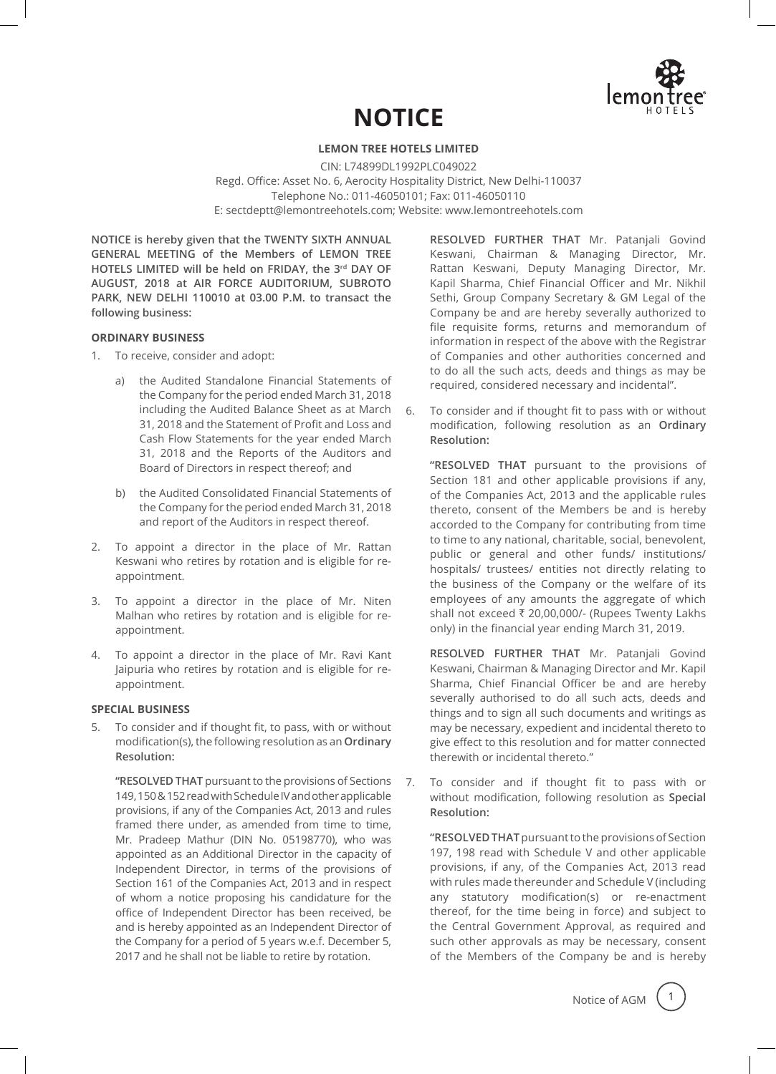

# **NOTICE**

### **LEMON TREE HOTELS LIMITED**

CIN: L74899DL1992PLC049022 Regd. Office: Asset No. 6, Aerocity Hospitality District, New Delhi-110037 Telephone No.: 011-46050101; Fax: 011-46050110 E: sectdeptt@lemontreehotels.com; Website: www.lemontreehotels.com

**NOTICE is hereby given that the TWENTY SIXTH ANNUAL GENERAL MEETING of the Members of LEMON TREE HOTELS LIMITED will be held on FRIDAY, the 3rd DAY OF AUGUST, 2018 at AIR FORCE AUDITORIUM, SUBROTO PARK, NEW DELHI 110010 at 03.00 P.M. to transact the following business:**

#### **ORDINARY BUSINESS**

- 1. To receive, consider and adopt:
	- a) the Audited Standalone Financial Statements of the Company for the period ended March 31, 2018 including the Audited Balance Sheet as at March 31, 2018 and the Statement of Profit and Loss and Cash Flow Statements for the year ended March 31, 2018 and the Reports of the Auditors and Board of Directors in respect thereof; and
	- b) the Audited Consolidated Financial Statements of the Company for the period ended March 31, 2018 and report of the Auditors in respect thereof.
- 2. To appoint a director in the place of Mr. Rattan Keswani who retires by rotation and is eligible for reappointment.
- 3. To appoint a director in the place of Mr. Niten Malhan who retires by rotation and is eligible for reappointment.
- To appoint a director in the place of Mr. Ravi Kant Jaipuria who retires by rotation and is eligible for reappointment.

### **SPECIAL BUSINESS**

5. To consider and if thought fit, to pass, with or without modification(s), the following resolution as an **Ordinary Resolution:**

 **"RESOLVED THAT** pursuant to the provisions of Sections 149, 150 & 152 read with Schedule IV and other applicable provisions, if any of the Companies Act, 2013 and rules framed there under, as amended from time to time, Mr. Pradeep Mathur (DIN No. 05198770), who was appointed as an Additional Director in the capacity of Independent Director, in terms of the provisions of Section 161 of the Companies Act, 2013 and in respect of whom a notice proposing his candidature for the office of Independent Director has been received, be and is hereby appointed as an Independent Director of the Company for a period of 5 years w.e.f. December 5, 2017 and he shall not be liable to retire by rotation.

**RESOLVED FURTHER THAT** Mr. Patanjali Govind Keswani, Chairman & Managing Director, Mr. Rattan Keswani, Deputy Managing Director, Mr. Kapil Sharma, Chief Financial Officer and Mr. Nikhil Sethi, Group Company Secretary & GM Legal of the Company be and are hereby severally authorized to file requisite forms, returns and memorandum of information in respect of the above with the Registrar of Companies and other authorities concerned and to do all the such acts, deeds and things as may be required, considered necessary and incidental".

6. To consider and if thought fit to pass with or without modification, following resolution as an **Ordinary Resolution:**

 **"RESOLVED THAT** pursuant to the provisions of Section 181 and other applicable provisions if any, of the Companies Act, 2013 and the applicable rules thereto, consent of the Members be and is hereby accorded to the Company for contributing from time to time to any national, charitable, social, benevolent, public or general and other funds/ institutions/ hospitals/ trustees/ entities not directly relating to the business of the Company or the welfare of its employees of any amounts the aggregate of which shall not exceed  $\bar{\tau}$  20,00,000/- (Rupees Twenty Lakhs only) in the financial year ending March 31, 2019.

 **RESOLVED FURTHER THAT** Mr. Patanjali Govind Keswani, Chairman & Managing Director and Mr. Kapil Sharma, Chief Financial Officer be and are hereby severally authorised to do all such acts, deeds and things and to sign all such documents and writings as may be necessary, expedient and incidental thereto to give effect to this resolution and for matter connected therewith or incidental thereto."

7. To consider and if thought fit to pass with or without modification, following resolution as **Special Resolution:**

 **"RESOLVED THAT** pursuant to the provisions of Section 197, 198 read with Schedule V and other applicable provisions, if any, of the Companies Act, 2013 read with rules made thereunder and Schedule V (including any statutory modification(s) or re-enactment thereof, for the time being in force) and subject to the Central Government Approval, as required and such other approvals as may be necessary, consent of the Members of the Company be and is hereby

Notice of AGM 1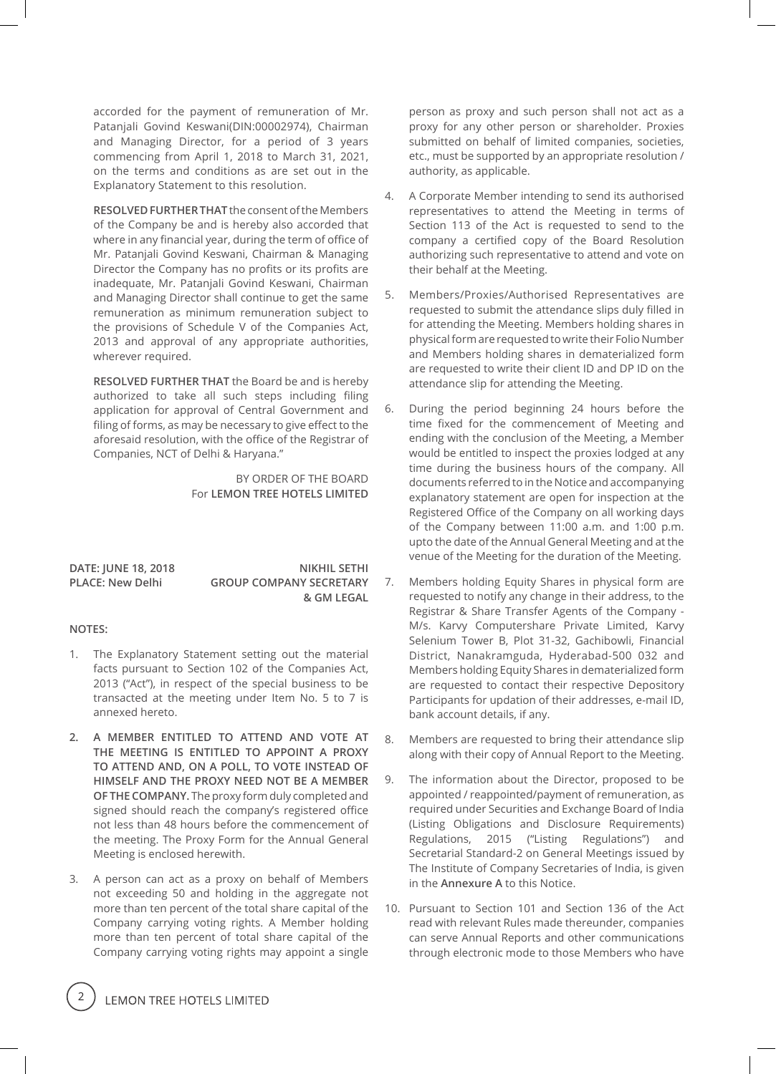accorded for the payment of remuneration of Mr. Patanjali Govind Keswani(DIN:00002974), Chairman and Managing Director, for a period of 3 years commencing from April 1, 2018 to March 31, 2021, on the terms and conditions as are set out in the Explanatory Statement to this resolution.

 **RESOLVED FURTHER THAT** the consent of the Members of the Company be and is hereby also accorded that where in any financial year, during the term of office of Mr. Patanjali Govind Keswani, Chairman & Managing Director the Company has no profits or its profits are inadequate, Mr. Patanjali Govind Keswani, Chairman and Managing Director shall continue to get the same remuneration as minimum remuneration subject to the provisions of Schedule V of the Companies Act, 2013 and approval of any appropriate authorities, wherever required.

 **RESOLVED FURTHER THAT** the Board be and is hereby authorized to take all such steps including filing application for approval of Central Government and filing of forms, as may be necessary to give effect to the aforesaid resolution, with the office of the Registrar of Companies, NCT of Delhi & Haryana."

> BY ORDER OF THE BOARD For **LEMON TREE HOTELS LIMITED**

| DATE: JUNE 18, 2018     | <b>NIKHIL SETHI</b>            |
|-------------------------|--------------------------------|
| <b>PLACE: New Delhi</b> | <b>GROUP COMPANY SECRETARY</b> |
|                         | & GM LEGAL                     |

### **NOTES:**

2

- 1. The Explanatory Statement setting out the material facts pursuant to Section 102 of the Companies Act, 2013 ("Act"), in respect of the special business to be transacted at the meeting under Item No. 5 to 7 is annexed hereto.
- **2. A member entitled to attend and vote at the meeting is entitled to appoint a proxy to attend and, on a poll, to vote instead of himself and the proxy need not be a member of the company.** The proxy form duly completed and signed should reach the company's registered office not less than 48 hours before the commencement of the meeting. The Proxy Form for the Annual General Meeting is enclosed herewith.
- 3. A person can act as a proxy on behalf of Members not exceeding 50 and holding in the aggregate not more than ten percent of the total share capital of the Company carrying voting rights. A Member holding more than ten percent of total share capital of the Company carrying voting rights may appoint a single

person as proxy and such person shall not act as a proxy for any other person or shareholder. Proxies submitted on behalf of limited companies, societies, etc., must be supported by an appropriate resolution / authority, as applicable.

- 4. A Corporate Member intending to send its authorised representatives to attend the Meeting in terms of Section 113 of the Act is requested to send to the company a certified copy of the Board Resolution authorizing such representative to attend and vote on their behalf at the Meeting.
- 5. Members/Proxies/Authorised Representatives are requested to submit the attendance slips duly filled in for attending the Meeting. Members holding shares in physical form are requested to write their Folio Number and Members holding shares in dematerialized form are requested to write their client ID and DP ID on the attendance slip for attending the Meeting.
- 6. During the period beginning 24 hours before the time fixed for the commencement of Meeting and ending with the conclusion of the Meeting, a Member would be entitled to inspect the proxies lodged at any time during the business hours of the company. All documents referred to in the Notice and accompanying explanatory statement are open for inspection at the Registered Office of the Company on all working days of the Company between 11:00 a.m. and 1:00 p.m. upto the date of the Annual General Meeting and at the venue of the Meeting for the duration of the Meeting.
- 7. Members holding Equity Shares in physical form are requested to notify any change in their address, to the Registrar & Share Transfer Agents of the Company - M/s. Karvy Computershare Private Limited, Karvy Selenium Tower B, Plot 31-32, Gachibowli, Financial District, Nanakramguda, Hyderabad-500 032 and Members holding Equity Shares in dematerialized form are requested to contact their respective Depository Participants for updation of their addresses, e-mail ID, bank account details, if any.
- 8. Members are requested to bring their attendance slip along with their copy of Annual Report to the Meeting.
- 9. The information about the Director, proposed to be appointed / reappointed/payment of remuneration, as required under Securities and Exchange Board of India (Listing Obligations and Disclosure Requirements) Regulations, 2015 ("Listing Regulations") and Secretarial Standard-2 on General Meetings issued by The Institute of Company Secretaries of India, is given in the **Annexure A** to this Notice.
- 10. Pursuant to Section 101 and Section 136 of the Act read with relevant Rules made thereunder, companies can serve Annual Reports and other communications through electronic mode to those Members who have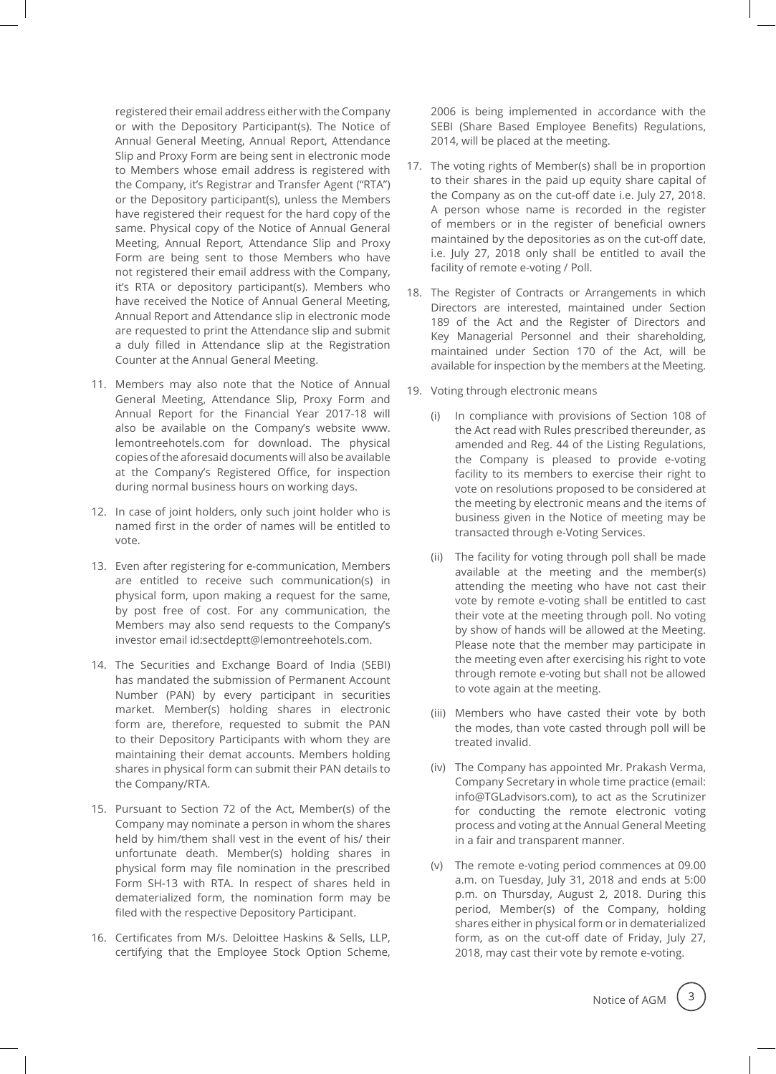registered their email address either with the Company or with the Depository Participant(s). The Notice of Annual General Meeting, Annual Report, Attendance Slip and Proxy Form are being sent in electronic mode to Members whose email address is registered with the Company, it's Registrar and Transfer Agent ("RTA") or the Depository participant(s), unless the Members have registered their request for the hard copy of the same. Physical copy of the Notice of Annual General Meeting, Annual Report, Attendance Slip and Proxy Form are being sent to those Members who have not registered their email address with the Company, it's RTA or depository participant(s). Members who have received the Notice of Annual General Meeting, Annual Report and Attendance slip in electronic mode are requested to print the Attendance slip and submit a duly filled in Attendance slip at the Registration Counter at the Annual General Meeting.

- 11. Members may also note that the Notice of Annual General Meeting, Attendance Slip, Proxy Form and Annual Report for the Financial Year 2017-18 will also be available on the Company's website www. lemontreehotels.com for download. The physical copies of the aforesaid documents will also be available at the Company's Registered Office, for inspection during normal business hours on working days.
- 12. In case of joint holders, only such joint holder who is named first in the order of names will be entitled to vote.
- 13. Even after registering for e-communication, Members are entitled to receive such communication(s) in physical form, upon making a request for the same, by post free of cost. For any communication, the Members may also send requests to the Company's investor email id:sectdeptt@lemontreehotels.com.
- 14. The Securities and Exchange Board of India (SEBI) has mandated the submission of Permanent Account Number (PAN) by every participant in securities market. Member(s) holding shares in electronic form are, therefore, requested to submit the PAN to their Depository Participants with whom they are maintaining their demat accounts. Members holding shares in physical form can submit their PAN details to the Company/RTA.
- 15. Pursuant to Section 72 of the Act, Member(s) of the Company may nominate a person in whom the shares held by him/them shall vest in the event of his/ their unfortunate death. Member(s) holding shares in physical form may file nomination in the prescribed Form SH-13 with RTA. In respect of shares held in dematerialized form, the nomination form may be filed with the respective Depository Participant.
- 16. Certificates from M/s. Deloittee Haskins & Sells, LLP, certifying that the Employee Stock Option Scheme,

2006 is being implemented in accordance with the SEBI (Share Based Employee Benefits) Regulations, 2014, will be placed at the meeting.

- 17. The voting rights of Member(s) shall be in proportion to their shares in the paid up equity share capital of the Company as on the cut-off date i.e. July 27, 2018. A person whose name is recorded in the register of members or in the register of beneficial owners maintained by the depositories as on the cut-off date, i.e. July 27, 2018 only shall be entitled to avail the facility of remote e-voting / Poll.
- 18. The Register of Contracts or Arrangements in which Directors are interested, maintained under Section 189 of the Act and the Register of Directors and Key Managerial Personnel and their shareholding, maintained under Section 170 of the Act, will be available for inspection by the members at the Meeting.
- 19. Voting through electronic means
	- (i) In compliance with provisions of Section 108 of the Act read with Rules prescribed thereunder, as amended and Reg. 44 of the Listing Regulations, the Company is pleased to provide e-voting facility to its members to exercise their right to vote on resolutions proposed to be considered at the meeting by electronic means and the items of business given in the Notice of meeting may be transacted through e-Voting Services.
	- (ii) The facility for voting through poll shall be made available at the meeting and the member(s) attending the meeting who have not cast their vote by remote e-voting shall be entitled to cast their vote at the meeting through poll. No voting by show of hands will be allowed at the Meeting. Please note that the member may participate in the meeting even after exercising his right to vote through remote e-voting but shall not be allowed to vote again at the meeting.
	- (iii) Members who have casted their vote by both the modes, than vote casted through poll will be treated invalid.
	- (iv) The Company has appointed Mr. Prakash Verma, Company Secretary in whole time practice (email: info@TGLadvisors.com), to act as the Scrutinizer for conducting the remote electronic voting process and voting at the Annual General Meeting in a fair and transparent manner.
	- (v) The remote e-voting period commences at 09.00 a.m. on Tuesday, July 31, 2018 and ends at 5:00 p.m. on Thursday, August 2, 2018. During this period, Member(s) of the Company, holding shares either in physical form or in dematerialized form, as on the cut-off date of Friday, July 27, 2018, may cast their vote by remote e-voting.

Notice of AGM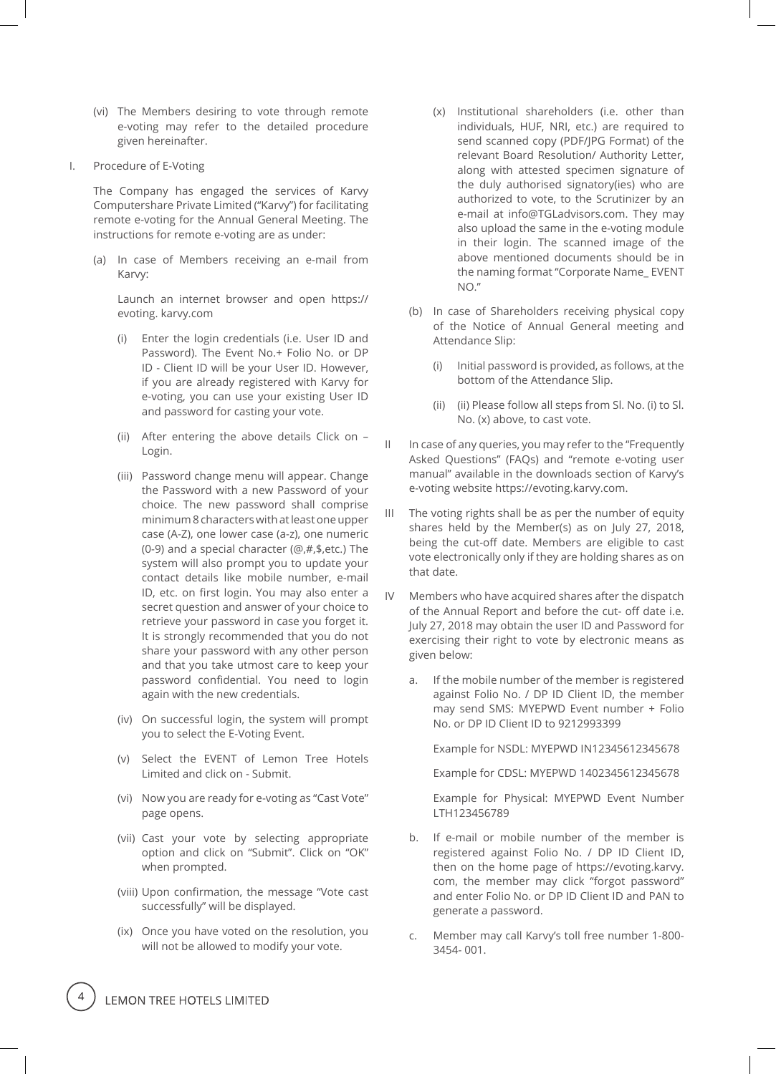- (vi) The Members desiring to vote through remote e-voting may refer to the detailed procedure given hereinafter.
- I. Procedure of E-Voting

 The Company has engaged the services of Karvy Computershare Private Limited ("Karvy") for facilitating remote e-voting for the Annual General Meeting. The instructions for remote e-voting are as under:

(a) In case of Members receiving an e-mail from Karvy:

Launch an internet browser and open https:// evoting. karvy.com

- (i) Enter the login credentials (i.e. User ID and Password). The Event No.+ Folio No. or DP ID - Client ID will be your User ID. However, if you are already registered with Karvy for e-voting, you can use your existing User ID and password for casting your vote.
- (ii) After entering the above details Click on Login.
- (iii) Password change menu will appear. Change the Password with a new Password of your choice. The new password shall comprise minimum 8 characters with at least one upper case (A-Z), one lower case (a-z), one numeric (0-9) and a special character (@,#,\$,etc.) The system will also prompt you to update your contact details like mobile number, e-mail ID, etc. on first login. You may also enter a secret question and answer of your choice to retrieve your password in case you forget it. It is strongly recommended that you do not share your password with any other person and that you take utmost care to keep your password confidential. You need to login again with the new credentials.
- (iv) On successful login, the system will prompt you to select the E-Voting Event.
- (v) Select the EVENT of Lemon Tree Hotels Limited and click on - Submit.
- (vi) Now you are ready for e-voting as "Cast Vote" page opens.
- (vii) Cast your vote by selecting appropriate option and click on "Submit". Click on "OK" when prompted.
- (viii) Upon confirmation, the message "Vote cast successfully" will be displayed.
- (ix) Once you have voted on the resolution, you will not be allowed to modify your vote.
- (x) Institutional shareholders (i.e. other than individuals, HUF, NRI, etc.) are required to send scanned copy (PDF/JPG Format) of the relevant Board Resolution/ Authority Letter, along with attested specimen signature of the duly authorised signatory(ies) who are authorized to vote, to the Scrutinizer by an e-mail at info@TGLadvisors.com. They may also upload the same in the e-voting module in their login. The scanned image of the above mentioned documents should be in the naming format "Corporate Name\_ EVENT  $N<sup>''</sup>$
- (b) In case of Shareholders receiving physical copy of the Notice of Annual General meeting and Attendance Slip:
	- (i) Initial password is provided, as follows, at the bottom of the Attendance Slip.
	- (ii) (ii) Please follow all steps from Sl. No. (i) to Sl. No. (x) above, to cast vote.
- In case of any queries, you may refer to the "Frequently Asked Questions" (FAQs) and "remote e-voting user manual" available in the downloads section of Karvy's e-voting website https://evoting.karvy.com.
- III The voting rights shall be as per the number of equity shares held by the Member(s) as on July 27, 2018, being the cut-off date. Members are eligible to cast vote electronically only if they are holding shares as on that date.
- IV Members who have acquired shares after the dispatch of the Annual Report and before the cut- off date i.e. July 27, 2018 may obtain the user ID and Password for exercising their right to vote by electronic means as given below:
	- a. If the mobile number of the member is registered against Folio No. / DP ID Client ID, the member may send SMS: MYEPWD Event number + Folio No. or DP ID Client ID to 9212993399

Example for NSDL: MYEPWD IN12345612345678

Example for CDSL: MYEPWD 1402345612345678

Example for Physical: MYEPWD Event Number LTH123456789

- b. If e-mail or mobile number of the member is registered against Folio No. / DP ID Client ID, then on the home page of https://evoting.karvy. com, the member may click "forgot password" and enter Folio No. or DP ID Client ID and PAN to generate a password.
- c. Member may call Karvy's toll free number 1-800- 3454- 001.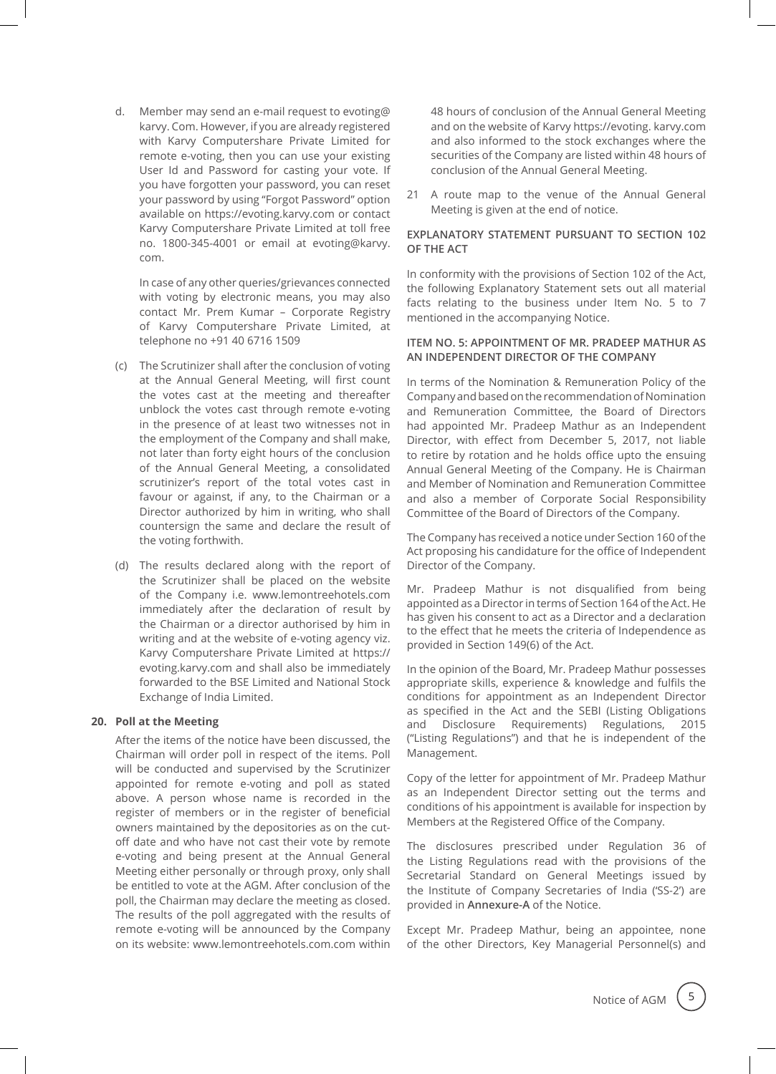d. Member may send an e-mail request to evoting@ karvy. Com. However, if you are already registered with Karvy Computershare Private Limited for remote e-voting, then you can use your existing User Id and Password for casting your vote. If you have forgotten your password, you can reset your password by using "Forgot Password" option available on https://evoting.karvy.com or contact Karvy Computershare Private Limited at toll free no. 1800-345-4001 or email at evoting@karvy. com.

In case of any other queries/grievances connected with voting by electronic means, you may also contact Mr. Prem Kumar – Corporate Registry of Karvy Computershare Private Limited, at telephone no +91 40 6716 1509

- (c) The Scrutinizer shall after the conclusion of voting at the Annual General Meeting, will first count the votes cast at the meeting and thereafter unblock the votes cast through remote e-voting in the presence of at least two witnesses not in the employment of the Company and shall make, not later than forty eight hours of the conclusion of the Annual General Meeting, a consolidated scrutinizer's report of the total votes cast in favour or against, if any, to the Chairman or a Director authorized by him in writing, who shall countersign the same and declare the result of the voting forthwith.
- (d) The results declared along with the report of the Scrutinizer shall be placed on the website of the Company i.e. www.lemontreehotels.com immediately after the declaration of result by the Chairman or a director authorised by him in writing and at the website of e-voting agency viz. Karvy Computershare Private Limited at https:// evoting.karvy.com and shall also be immediately forwarded to the BSE Limited and National Stock Exchange of India Limited.

### **20. Poll at the Meeting**

 After the items of the notice have been discussed, the Chairman will order poll in respect of the items. Poll will be conducted and supervised by the Scrutinizer appointed for remote e-voting and poll as stated above. A person whose name is recorded in the register of members or in the register of beneficial owners maintained by the depositories as on the cutoff date and who have not cast their vote by remote e-voting and being present at the Annual General Meeting either personally or through proxy, only shall be entitled to vote at the AGM. After conclusion of the poll, the Chairman may declare the meeting as closed. The results of the poll aggregated with the results of remote e-voting will be announced by the Company on its website: www.lemontreehotels.com.com within

48 hours of conclusion of the Annual General Meeting and on the website of Karvy https://evoting. karvy.com and also informed to the stock exchanges where the securities of the Company are listed within 48 hours of conclusion of the Annual General Meeting.

21 A route map to the venue of the Annual General Meeting is given at the end of notice.

## **EXPLANATORY STATEMENT PURSUANT TO SECTION 102 OF THE Act**

In conformity with the provisions of Section 102 of the Act, the following Explanatory Statement sets out all material facts relating to the business under Item No. 5 to 7 mentioned in the accompanying Notice.

### **ITEM NO. 5: APPOINTMENT OF MR. PRADEEP MATHUR AS AN INDEPENDENT DIRECTOR OF THE COMPANY**

In terms of the Nomination & Remuneration Policy of the Company and based on the recommendation of Nomination and Remuneration Committee, the Board of Directors had appointed Mr. Pradeep Mathur as an Independent Director, with effect from December 5, 2017, not liable to retire by rotation and he holds office upto the ensuing Annual General Meeting of the Company. He is Chairman and Member of Nomination and Remuneration Committee and also a member of Corporate Social Responsibility Committee of the Board of Directors of the Company.

The Company has received a notice under Section 160 of the Act proposing his candidature for the office of Independent Director of the Company.

Mr. Pradeep Mathur is not disqualified from being appointed as a Director in terms of Section 164 of the Act. He has given his consent to act as a Director and a declaration to the effect that he meets the criteria of Independence as provided in Section 149(6) of the Act.

In the opinion of the Board, Mr. Pradeep Mathur possesses appropriate skills, experience & knowledge and fulfils the conditions for appointment as an Independent Director as specified in the Act and the SEBI (Listing Obligations and Disclosure Requirements) Regulations, 2015 ("Listing Regulations") and that he is independent of the Management.

Copy of the letter for appointment of Mr. Pradeep Mathur as an Independent Director setting out the terms and conditions of his appointment is available for inspection by Members at the Registered Office of the Company.

The disclosures prescribed under Regulation 36 of the Listing Regulations read with the provisions of the Secretarial Standard on General Meetings issued by the Institute of Company Secretaries of India ('SS-2') are provided in **Annexure-A** of the Notice.

Except Mr. Pradeep Mathur, being an appointee, none of the other Directors, Key Managerial Personnel(s) and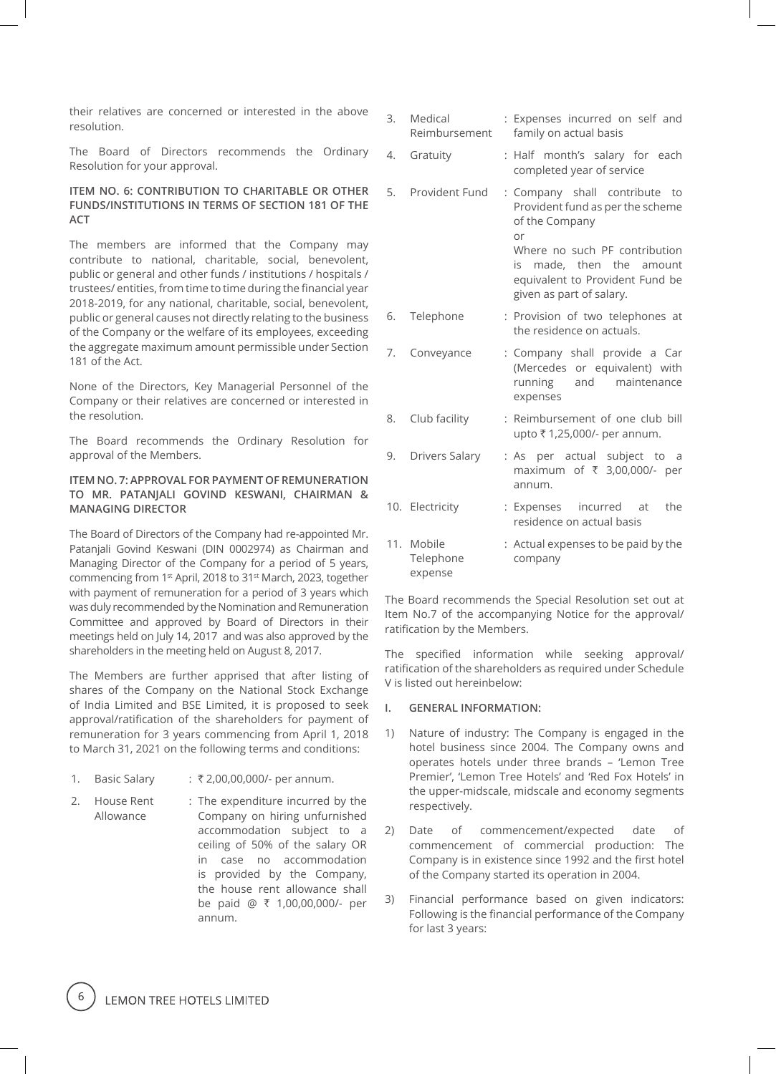their relatives are concerned or interested in the above resolution.

The Board of Directors recommends the Ordinary Resolution for your approval.

## **ITEM NO. 6: CONTRIBUTION TO CHARITABLE OR OTHER FUNDS/INSTITUTIONS IN TERMS OF SECTION 181 OF THE Act**

The members are informed that the Company may contribute to national, charitable, social, benevolent, public or general and other funds / institutions / hospitals / trustees/ entities, from time to time during the financial year 2018-2019, for any national, charitable, social, benevolent, public or general causes not directly relating to the business of the Company or the welfare of its employees, exceeding the aggregate maximum amount permissible under Section 181 of the Act.

None of the Directors, Key Managerial Personnel of the Company or their relatives are concerned or interested in the resolution.

The Board recommends the Ordinary Resolution for approval of the Members.

## **ITEM NO. 7: APPROVAL FOR PAYMENT OF REMUNERATION TO MR. PATANJALI GOVIND KESWANI, CHAIRMAN & MANAGING DIRECTOR**

The Board of Directors of the Company had re-appointed Mr. Patanjali Govind Keswani (DIN 0002974) as Chairman and Managing Director of the Company for a period of 5 years, commencing from 1<sup>st</sup> April, 2018 to 31<sup>st</sup> March, 2023, together with payment of remuneration for a period of 3 years which was duly recommended by the Nomination and Remuneration Committee and approved by Board of Directors in their meetings held on July 14, 2017 and was also approved by the shareholders in the meeting held on August 8, 2017.

The Members are further apprised that after listing of shares of the Company on the National Stock Exchange of India Limited and BSE Limited, it is proposed to seek approval/ratification of the shareholders for payment of remuneration for 3 years commencing from April 1, 2018 to March 31, 2021 on the following terms and conditions:

- 1. Basic Salary : ₹2,00,00,000/- per annum.
- 2. House Rent Allowance : The expenditure incurred by the Company on hiring unfurnished accommodation subject to a ceiling of 50% of the salary OR in case no accommodation is provided by the Company, the house rent allowance shall be paid @ ₹ 1,00,00,000/- per annum.
- 3. Medical Reimbursement : Expenses incurred on self and family on actual basis
	- Gratuity : Half month's salary for each completed year of service
- 5. Provident Fund : Company shall contribute to Provident fund as per the scheme of the Company or Where no such PF contribution is made, then the amount equivalent to Provident Fund be given as part of salary.
- 6. Telephone : Provision of two telephones at the residence on actuals.
- 7. Conveyance : Company shall provide a Car (Mercedes or equivalent) with running and maintenance expenses
- 8. Club facility : Reimbursement of one club bill upto ₹1,25,000/- per annum.

9. Drivers Salary : As per actual subject to a maximum of  $\bar{\tau}$  3,00,000/- per annum.

- 10. Electricity : Expenses incurred at the residence on actual basis
- 11. Mobile Telephone expense : Actual expenses to be paid by the company

The Board recommends the Special Resolution set out at Item No.7 of the accompanying Notice for the approval/ ratification by the Members.

The specified information while seeking approval/ ratification of the shareholders as required under Schedule V is listed out hereinbelow:

### **I. GENERAL INFORMATION:**

- 1) Nature of industry: The Company is engaged in the hotel business since 2004. The Company owns and operates hotels under three brands – 'Lemon Tree Premier', 'Lemon Tree Hotels' and 'Red Fox Hotels' in the upper-midscale, midscale and economy segments respectively.
- 2) Date of commencement/expected date of commencement of commercial production: The Company is in existence since 1992 and the first hotel of the Company started its operation in 2004.
- 3) Financial performance based on given indicators: Following is the financial performance of the Company for last 3 years: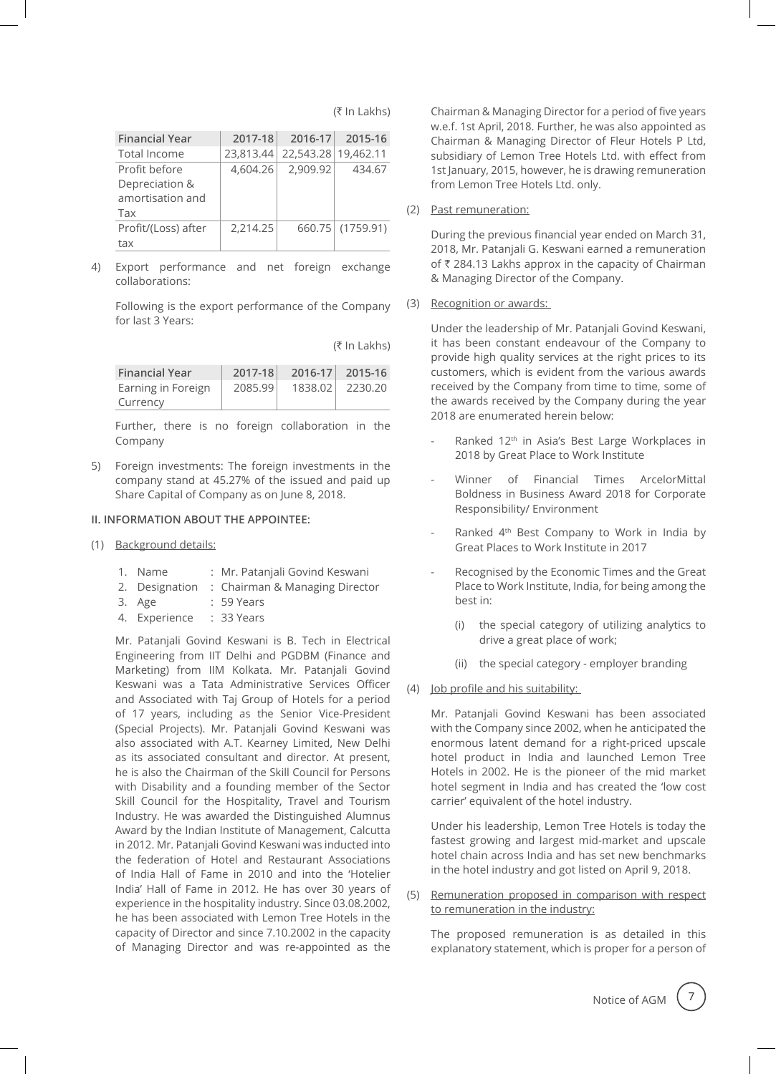| <b>Financial Year</b> | 2017-18   | 2016-17   | 2015-16          |
|-----------------------|-----------|-----------|------------------|
| Total Income          | 23,813.44 | 22,543.28 | 19,462.11        |
| Profit before         | 4,604.26  | 2,909.92  | 434.67           |
| Depreciation &        |           |           |                  |
| amortisation and      |           |           |                  |
| Tax                   |           |           |                  |
| Profit/(Loss) after   | 2,214.25  |           | 660.75 (1759.91) |
| tax                   |           |           |                  |

4) Export performance and net foreign exchange collaborations:

 Following is the export performance of the Company for last 3 Years:

| <b>Financial Year</b> | 2017-18 | 2016-17 2015-16 |
|-----------------------|---------|-----------------|
| Earning in Foreign    | 2085.99 | 1838.02 2230.20 |
| Currency              |         |                 |

Further, there is no foreign collaboration in the

5) Foreign investments: The foreign investments in the company stand at 45.27% of the issued and paid up

# Share Capital of Company as on June 8, 2018.

## **II. INFORMATION ABOUT THE APPOINTEE:**

(1) Background details:

Company

- 1. Name : Mr. Patanjali Govind Keswani
- 2. Designation : Chairman & Managing Director
- 3. Age : 59 Years
- 4. Experience : 33 Years

Mr. Patanjali Govind Keswani is B. Tech in Electrical Engineering from IIT Delhi and PGDBM (Finance and Marketing) from IIM Kolkata. Mr. Patanjali Govind Keswani was a Tata Administrative Services Officer and Associated with Taj Group of Hotels for a period of 17 years, including as the Senior Vice-President (Special Projects). Mr. Patanjali Govind Keswani was also associated with A.T. Kearney Limited, New Delhi as its associated consultant and director. At present, he is also the Chairman of the Skill Council for Persons with Disability and a founding member of the Sector Skill Council for the Hospitality, Travel and Tourism Industry. He was awarded the Distinguished Alumnus Award by the Indian Institute of Management, Calcutta in 2012. Mr. Patanjali Govind Keswani was inducted into the federation of Hotel and Restaurant Associations of India Hall of Fame in 2010 and into the 'Hotelier India' Hall of Fame in 2012. He has over 30 years of experience in the hospitality industry. Since 03.08.2002, he has been associated with Lemon Tree Hotels in the capacity of Director and since 7.10.2002 in the capacity of Managing Director and was re-appointed as the

Chairman & Managing Director for a period of five years w.e.f. 1st April, 2018. Further, he was also appointed as Chairman & Managing Director of Fleur Hotels P Ltd, subsidiary of Lemon Tree Hotels Ltd. with effect from 1st January, 2015, however, he is drawing remuneration from Lemon Tree Hotels Ltd. only.

## (2) Past remuneration:

(₹ In Lakhs)

(₹ In Lakhs)

During the previous financial year ended on March 31, 2018, Mr. Patanjali G. Keswani earned a remuneration of  $\bar{\tau}$  284.13 Lakhs approx in the capacity of Chairman & Managing Director of the Company.

### (3) Recognition or awards:

Under the leadership of Mr. Patanjali Govind Keswani, it has been constant endeavour of the Company to provide high quality services at the right prices to its customers, which is evident from the various awards received by the Company from time to time, some of the awards received by the Company during the year 2018 are enumerated herein below:

- Ranked 12<sup>th</sup> in Asia's Best Large Workplaces in 2018 by Great Place to Work Institute
- Winner of Financial Times ArcelorMittal Boldness in Business Award 2018 for Corporate Responsibility/ Environment
- Ranked 4<sup>th</sup> Best Company to Work in India by Great Places to Work Institute in 2017
- Recognised by the Economic Times and the Great Place to Work Institute, India, for being among the best in:
	- (i) the special category of utilizing analytics to drive a great place of work;
	- (ii) the special category employer branding
- (4) Job profile and his suitability:

 Mr. Patanjali Govind Keswani has been associated with the Company since 2002, when he anticipated the enormous latent demand for a right-priced upscale hotel product in India and launched Lemon Tree Hotels in 2002. He is the pioneer of the mid market hotel segment in India and has created the 'low cost carrier' equivalent of the hotel industry.

Under his leadership, Lemon Tree Hotels is today the fastest growing and largest mid-market and upscale hotel chain across India and has set new benchmarks in the hotel industry and got listed on April 9, 2018.

(5) Remuneration proposed in comparison with respect to remuneration in the industry:

 The proposed remuneration is as detailed in this explanatory statement, which is proper for a person of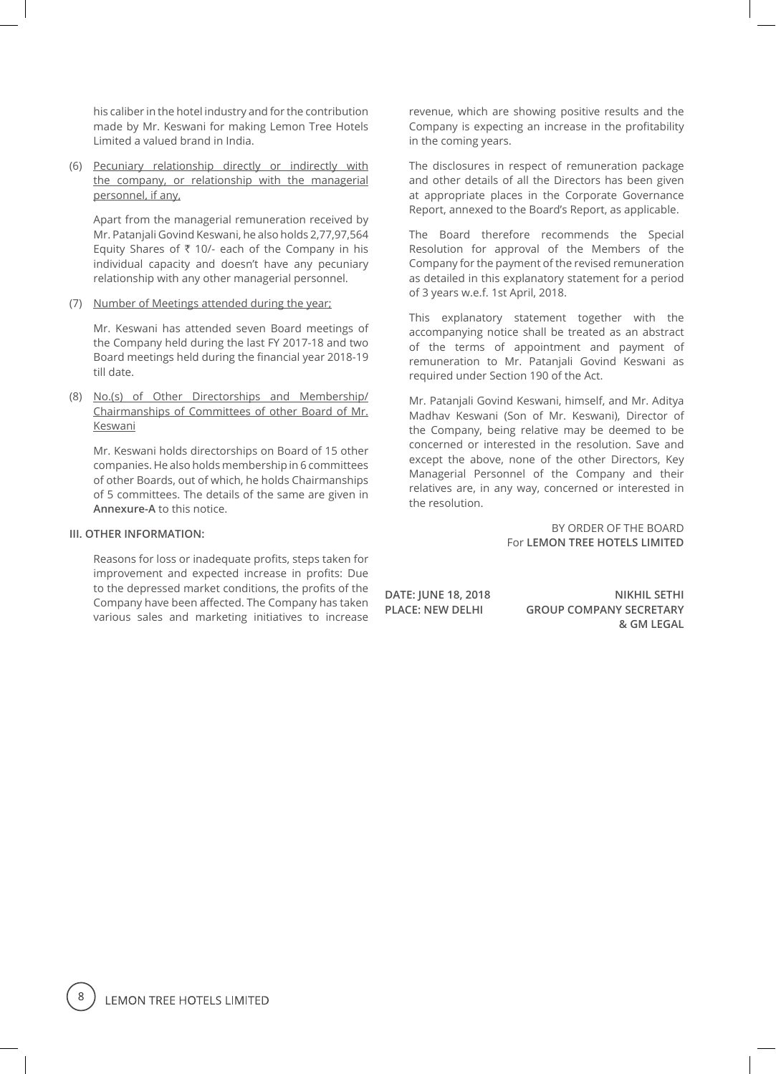his caliber in the hotel industry and for the contribution made by Mr. Keswani for making Lemon Tree Hotels Limited a valued brand in India.

(6) Pecuniary relationship directly or indirectly with the company, or relationship with the managerial personnel, if any,

 Apart from the managerial remuneration received by Mr. Patanjali Govind Keswani, he also holds 2,77,97,564 Equity Shares of  $\bar{\tau}$  10/- each of the Company in his individual capacity and doesn't have any pecuniary relationship with any other managerial personnel.

(7) Number of Meetings attended during the year;

 Mr. Keswani has attended seven Board meetings of the Company held during the last FY 2017-18 and two Board meetings held during the financial year 2018-19 till date.

(8) No.(s) of Other Directorships and Membership/ Chairmanships of Committees of other Board of Mr. Keswani

 Mr. Keswani holds directorships on Board of 15 other companies. He also holds membership in 6 committees of other Boards, out of which, he holds Chairmanships of 5 committees. The details of the same are given in **Annexure-A** to this notice.

## **III. OTHER INFORMATION:**

Reasons for loss or inadequate profits, steps taken for improvement and expected increase in profits: Due to the depressed market conditions, the profits of the Company have been affected. The Company has taken various sales and marketing initiatives to increase

revenue, which are showing positive results and the Company is expecting an increase in the profitability in the coming years.

The disclosures in respect of remuneration package and other details of all the Directors has been given at appropriate places in the Corporate Governance Report, annexed to the Board's Report, as applicable.

The Board therefore recommends the Special Resolution for approval of the Members of the Company for the payment of the revised remuneration as detailed in this explanatory statement for a period of 3 years w.e.f. 1st April, 2018.

This explanatory statement together with the accompanying notice shall be treated as an abstract of the terms of appointment and payment of remuneration to Mr. Patanjali Govind Keswani as required under Section 190 of the Act.

Mr. Patanjali Govind Keswani, himself, and Mr. Aditya Madhav Keswani (Son of Mr. Keswani), Director of the Company, being relative may be deemed to be concerned or interested in the resolution. Save and except the above, none of the other Directors, Key Managerial Personnel of the Company and their relatives are, in any way, concerned or interested in the resolution.

> BY ORDER OF THE BOARD For **LEMON TREE HOTELS LIMITED**

**DATE: June 18, 2018 NIKHIL SETHI PLACE: NEW DELHI GROUP COMPANY SECRETARY & GM LEGAL**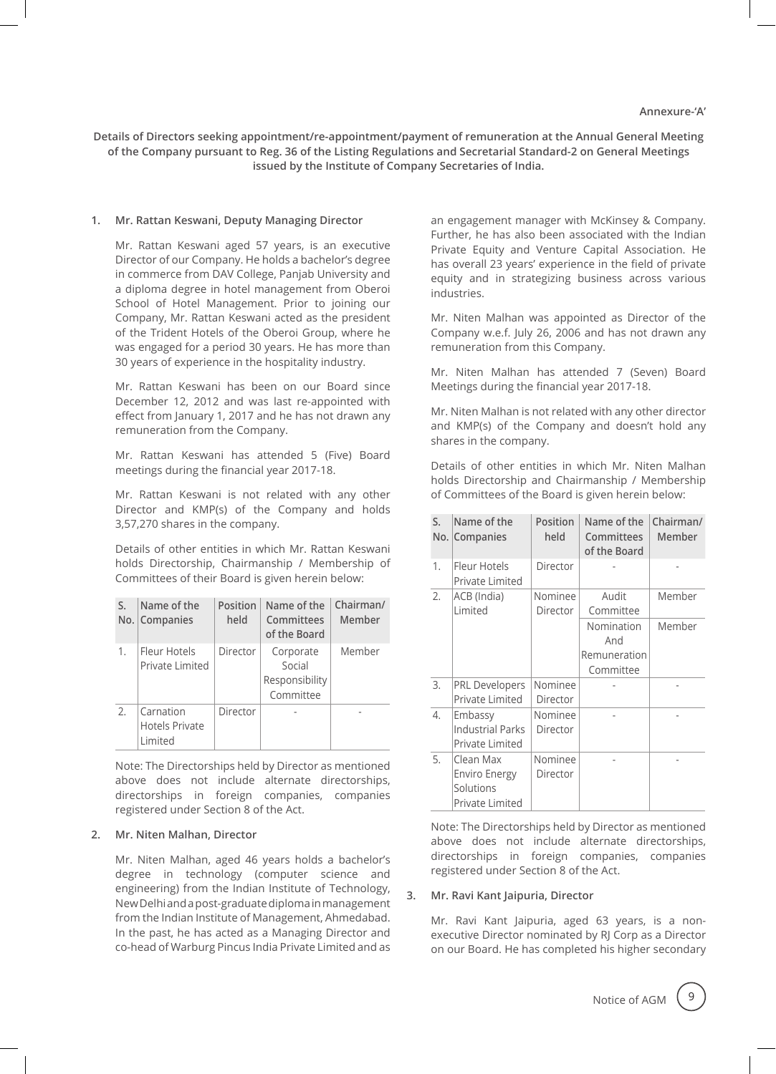**Details of Directors seeking appointment/re-appointment/payment of remuneration at the Annual General Meeting of the Company pursuant to Reg. 36 of the Listing Regulations and Secretarial Standard-2 on General Meetings issued by the Institute of Company Secretaries of India.**

### **1. Mr. Rattan Keswani, Deputy Managing Director**

Mr. Rattan Keswani aged 57 years, is an executive Director of our Company. He holds a bachelor's degree in commerce from DAV College, Panjab University and a diploma degree in hotel management from Oberoi School of Hotel Management. Prior to joining our Company, Mr. Rattan Keswani acted as the president of the Trident Hotels of the Oberoi Group, where he was engaged for a period 30 years. He has more than 30 years of experience in the hospitality industry.

Mr. Rattan Keswani has been on our Board since December 12, 2012 and was last re-appointed with effect from January 1, 2017 and he has not drawn any remuneration from the Company.

Mr. Rattan Keswani has attended 5 (Five) Board meetings during the financial year 2017-18.

Mr. Rattan Keswani is not related with any other Director and KMP(s) of the Company and holds 3,57,270 shares in the company.

Details of other entities in which Mr. Rattan Keswani holds Directorship, Chairmanship / Membership of Committees of their Board is given herein below:

| S.      | Name of the<br>No. Companies                  | Position<br>held | Name of the<br>Committees<br>of the Board          | Chairman/<br>Member |
|---------|-----------------------------------------------|------------------|----------------------------------------------------|---------------------|
| $1_{.}$ | Fleur Hotels<br>Private Limited               | Director         | Corporate<br>Social<br>Responsibility<br>Committee | Member              |
| 2.      | Carnation<br><b>Hotels Private</b><br>Limited | Director         |                                                    |                     |

Note: The Directorships held by Director as mentioned above does not include alternate directorships, directorships in foreign companies, companies registered under Section 8 of the Act.

### **2. Mr. Niten Malhan, Director**

Mr. Niten Malhan, aged 46 years holds a bachelor's degree in technology (computer science and engineering) from the Indian Institute of Technology, New Delhi and a post-graduate diploma in management from the Indian Institute of Management, Ahmedabad. In the past, he has acted as a Managing Director and co-head of Warburg Pincus India Private Limited and as

an engagement manager with McKinsey & Company. Further, he has also been associated with the Indian Private Equity and Venture Capital Association. He has overall 23 years' experience in the field of private equity and in strategizing business across various industries.

Mr. Niten Malhan was appointed as Director of the Company w.e.f. July 26, 2006 and has not drawn any remuneration from this Company.

Mr. Niten Malhan has attended 7 (Seven) Board Meetings during the financial year 2017-18.

Mr. Niten Malhan is not related with any other director and KMP(s) of the Company and doesn't hold any shares in the company.

Details of other entities in which Mr. Niten Malhan holds Directorship and Chairmanship / Membership of Committees of the Board is given herein below:

| S. | Name of the<br>No. Companies                                      | Position<br>held    | Name of the<br>Committees<br>of the Board | Chairman/<br>Member |
|----|-------------------------------------------------------------------|---------------------|-------------------------------------------|---------------------|
| 1. | Fleur Hotels<br>Private Limited                                   | Director            |                                           |                     |
| 2. | ACB (India)<br>Limited                                            | Nominee<br>Director | Audit<br>Committee                        | Member              |
|    |                                                                   |                     | Nomination<br>And                         | Member              |
|    |                                                                   |                     | Remuneration<br>Committee                 |                     |
| 3. | <b>PRL Developers</b><br>Private Limited                          | Nominee<br>Director |                                           |                     |
| 4. | Embassy<br><b>Industrial Parks</b><br>Private Limited             | Nominee<br>Director |                                           |                     |
| 5. | Clean Max<br><b>Enviro Energy</b><br>Solutions<br>Private Limited | Nominee<br>Director |                                           |                     |

Note: The Directorships held by Director as mentioned above does not include alternate directorships, directorships in foreign companies, companies registered under Section 8 of the Act.

## **3. Mr. Ravi Kant Jaipuria, Director**

Mr. Ravi Kant Jaipuria, aged 63 years, is a nonexecutive Director nominated by RJ Corp as a Director on our Board. He has completed his higher secondary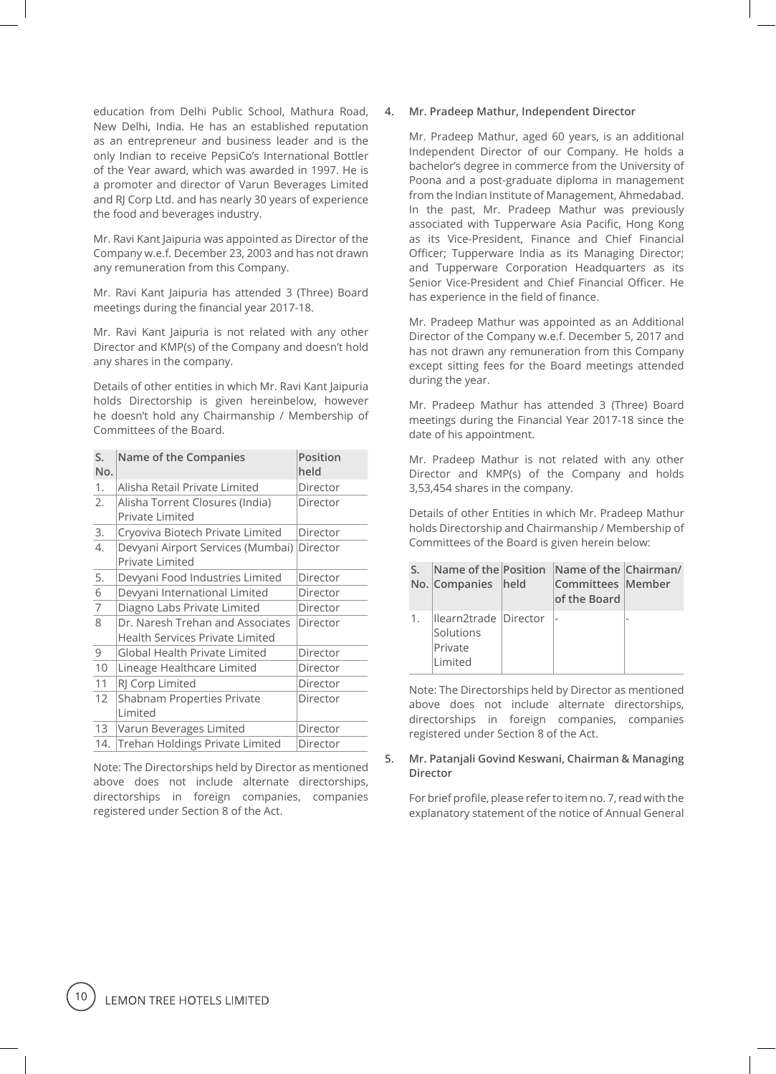education from Delhi Public School, Mathura Road, New Delhi, India. He has an established reputation as an entrepreneur and business leader and is the only Indian to receive PepsiCo's International Bottler of the Year award, which was awarded in 1997. He is a promoter and director of Varun Beverages Limited and RJ Corp Ltd. and has nearly 30 years of experience the food and beverages industry.

Mr. Ravi Kant Jaipuria was appointed as Director of the Company w.e.f. December 23, 2003 and has not drawn any remuneration from this Company.

Mr. Ravi Kant Jaipuria has attended 3 (Three) Board meetings during the financial year 2017-18.

Mr. Ravi Kant Jaipuria is not related with any other Director and KMP(s) of the Company and doesn't hold any shares in the company.

Details of other entities in which Mr. Ravi Kant Jaipuria holds Directorship is given hereinbelow, however he doesn't hold any Chairmanship / Membership of Committees of the Board.

| S.<br>No. | Name of the Companies                                                      | <b>Position</b><br>held |
|-----------|----------------------------------------------------------------------------|-------------------------|
| 1.        | Alisha Retail Private Limited                                              | Director                |
| 2.        | Alisha Torrent Closures (India)<br>Private Limited                         | Director                |
| 3.        | Cryoviva Biotech Private Limited                                           | Director                |
| 4.        | Devyani Airport Services (Mumbai)<br>Private Limited                       | Director                |
| 5.        | Devyani Food Industries Limited                                            | Director                |
| 6         | Devyani International Limited                                              | Director                |
| 7         | Diagno Labs Private Limited                                                | Director                |
| 8         | Dr. Naresh Trehan and Associates<br><b>Health Services Private Limited</b> | Director                |
| 9         | Global Health Private Limited                                              | Director                |
| 10        | Lineage Healthcare Limited                                                 | Director                |
| 11        | RJ Corp Limited                                                            | Director                |
| 12        | Shabnam Properties Private<br>Limited                                      | Director                |
| 13        | Varun Beverages Limited                                                    | Director                |
| 14.       | Trehan Holdings Private Limited                                            | Director                |

Note: The Directorships held by Director as mentioned above does not include alternate directorships, directorships in foreign companies, companies registered under Section 8 of the Act.

### **4. Mr. Pradeep Mathur, Independent Director**

Mr. Pradeep Mathur, aged 60 years, is an additional Independent Director of our Company. He holds a bachelor's degree in commerce from the University of Poona and a post-graduate diploma in management from the Indian Institute of Management, Ahmedabad. In the past, Mr. Pradeep Mathur was previously associated with Tupperware Asia Pacific, Hong Kong as its Vice-President, Finance and Chief Financial Officer; Tupperware India as its Managing Director; and Tupperware Corporation Headquarters as its Senior Vice-President and Chief Financial Officer. He has experience in the field of finance.

Mr. Pradeep Mathur was appointed as an Additional Director of the Company w.e.f. December 5, 2017 and has not drawn any remuneration from this Company except sitting fees for the Board meetings attended during the year.

Mr. Pradeep Mathur has attended 3 (Three) Board meetings during the Financial Year 2017-18 since the date of his appointment.

Mr. Pradeep Mathur is not related with any other Director and KMP(s) of the Company and holds 3,53,454 shares in the company.

Details of other Entities in which Mr. Pradeep Mathur holds Directorship and Chairmanship / Membership of Committees of the Board is given herein below:

| S.           | No. Companies held                                       | $\blacksquare$ Name of the Position $\blacksquare$ Name of the $\blacksquare$ Chairman/<br><b>Committees Member</b><br>of the Board |  |
|--------------|----------------------------------------------------------|-------------------------------------------------------------------------------------------------------------------------------------|--|
| $\mathbf{1}$ | llearn2trade Director<br>Solutions<br>Private<br>Limited |                                                                                                                                     |  |

Note: The Directorships held by Director as mentioned above does not include alternate directorships, directorships in foreign companies, companies registered under Section 8 of the Act.

**5. Mr. Patanjali Govind Keswani, Chairman & Managing Director**

For brief profile, please refer to item no. 7, read with the explanatory statement of the notice of Annual General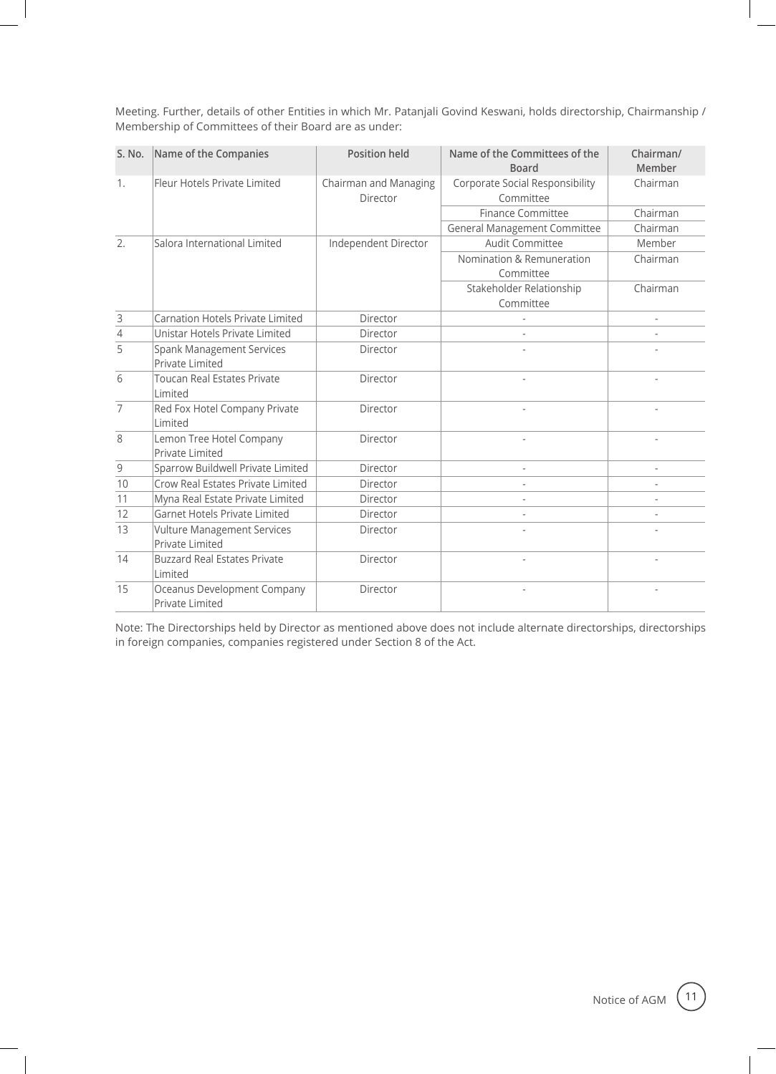Meeting. Further, details of other Entities in which Mr. Patanjali Govind Keswani, holds directorship, Chairmanship / Membership of Committees of their Board are as under:

| S. No.                  | Name of the Companies                                 | <b>Position held</b>              | Name of the Committees of the<br><b>Board</b>       | Chairman/<br>Member |
|-------------------------|-------------------------------------------------------|-----------------------------------|-----------------------------------------------------|---------------------|
| 1.                      | Fleur Hotels Private Limited                          | Chairman and Managing<br>Director | <b>Corporate Social Responsibility</b><br>Committee | Chairman            |
|                         |                                                       |                                   | Finance Committee                                   | Chairman            |
|                         |                                                       |                                   | General Management Committee                        | Chairman            |
| 2.                      | Salora International Limited                          | Independent Director              | Audit Committee                                     | Member              |
|                         |                                                       |                                   | Nomination & Remuneration<br>Committee              | Chairman            |
|                         |                                                       |                                   | Stakeholder Relationship<br>Committee               | Chairman            |
| $\overline{\mathbf{3}}$ | Carnation Hotels Private Limited                      | Director                          |                                                     |                     |
| $\overline{4}$          | Unistar Hotels Private Limited                        | Director                          |                                                     |                     |
| 5                       | <b>Spank Management Services</b><br>Private Limited   | Director                          |                                                     |                     |
| 6                       | <b>Toucan Real Estates Private</b><br>Limited         | Director                          |                                                     |                     |
| 7                       | Red Fox Hotel Company Private<br>Limited              | Director                          |                                                     |                     |
| 8                       | Lemon Tree Hotel Company<br>Private Limited           | Director                          |                                                     |                     |
| 9                       | Sparrow Buildwell Private Limited                     | Director                          |                                                     |                     |
| 10                      | Crow Real Estates Private Limited                     | Director                          |                                                     |                     |
| 11                      | Myna Real Estate Private Limited                      | Director                          |                                                     |                     |
| 12                      | Garnet Hotels Private Limited                         | Director                          |                                                     |                     |
| 13                      | <b>Vulture Management Services</b><br>Private Limited | Director                          |                                                     |                     |
| 14                      | <b>Buzzard Real Estates Private</b><br>Limited        | Director                          |                                                     |                     |
| 15                      | Oceanus Development Company<br>Private Limited        | Director                          |                                                     |                     |

 Note: The Directorships held by Director as mentioned above does not include alternate directorships, directorships in foreign companies, companies registered under Section 8 of the Act.